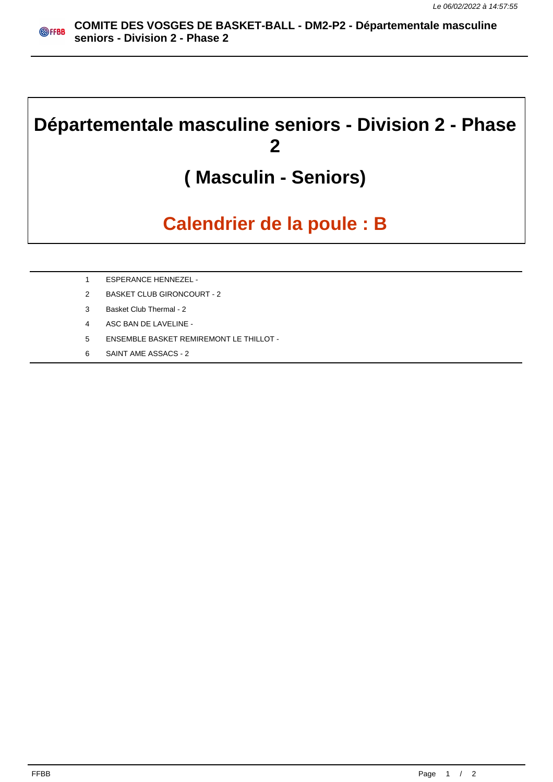## **Départementale masculine seniors - Division 2 - Phase 2**

## **( Masculin - Seniors)**

## **Calendrier de la poule : B**

- 1 ESPERANCE HENNEZEL -
- 2 BASKET CLUB GIRONCOURT 2
- 3 Basket Club Thermal 2
- 4 ASC BAN DE LAVELINE -
- 5 ENSEMBLE BASKET REMIREMONT LE THILLOT -
- 6 SAINT AME ASSACS 2